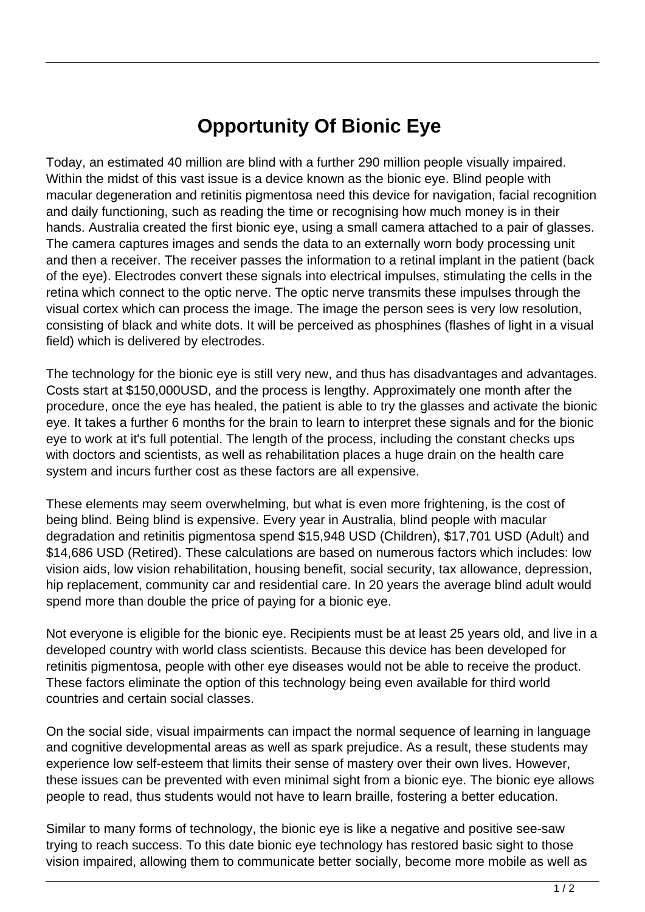## **Opportunity Of Bionic Eye**

Today, an estimated 40 million are blind with a further 290 million people visually impaired. Within the midst of this vast issue is a device known as the bionic eye. Blind people with macular degeneration and retinitis pigmentosa need this device for navigation, facial recognition and daily functioning, such as reading the time or recognising how much money is in their hands. Australia created the first bionic eye, using a small camera attached to a pair of glasses. The camera captures images and sends the data to an externally worn body processing unit and then a receiver. The receiver passes the information to a retinal implant in the patient (back of the eye). Electrodes convert these signals into electrical impulses, stimulating the cells in the retina which connect to the optic nerve. The optic nerve transmits these impulses through the visual cortex which can process the image. The image the person sees is very low resolution, consisting of black and white dots. It will be perceived as phosphines (flashes of light in a visual field) which is delivered by electrodes.

The technology for the bionic eye is still very new, and thus has disadvantages and advantages. Costs start at \$150,000USD, and the process is lengthy. Approximately one month after the procedure, once the eye has healed, the patient is able to try the glasses and activate the bionic eye. It takes a further 6 months for the brain to learn to interpret these signals and for the bionic eye to work at it's full potential. The length of the process, including the constant checks ups with doctors and scientists, as well as rehabilitation places a huge drain on the health care system and incurs further cost as these factors are all expensive.

These elements may seem overwhelming, but what is even more frightening, is the cost of being blind. Being blind is expensive. Every year in Australia, blind people with macular degradation and retinitis pigmentosa spend \$15,948 USD (Children), \$17,701 USD (Adult) and \$14,686 USD (Retired). These calculations are based on numerous factors which includes: low vision aids, low vision rehabilitation, housing benefit, social security, tax allowance, depression, hip replacement, community car and residential care. In 20 years the average blind adult would spend more than double the price of paying for a bionic eye.

Not everyone is eligible for the bionic eye. Recipients must be at least 25 years old, and live in a developed country with world class scientists. Because this device has been developed for retinitis pigmentosa, people with other eye diseases would not be able to receive the product. These factors eliminate the option of this technology being even available for third world countries and certain social classes.

On the social side, visual impairments can impact the normal sequence of learning in language and cognitive developmental areas as well as spark prejudice. As a result, these students may experience low self-esteem that limits their sense of mastery over their own lives. However, these issues can be prevented with even minimal sight from a bionic eye. The bionic eye allows people to read, thus students would not have to learn braille, fostering a better education.

Similar to many forms of technology, the bionic eye is like a negative and positive see-saw trying to reach success. To this date bionic eye technology has restored basic sight to those vision impaired, allowing them to communicate better socially, become more mobile as well as